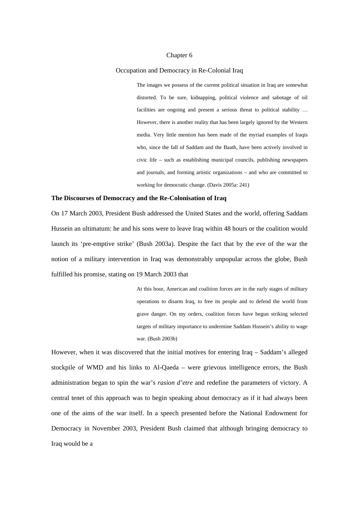### Chapter 6

#### Occupation and Democracy in Re-Colonial Iraq

The images we possess of the current political situation in Iraq are somewhat distorted. To be sure, kidnapping, political violence and sabotage of oil facilities are ongoing and present a serious threat to political stability … However, there is another reality that has been largely ignored by the Western media. Very little mention has been made of the myriad examples of Iraqis who, since the fall of Saddam and the Baath, have been actively involved in civic life – such as establishing municipal councils, publishing newspapers and journals, and forming artistic organizations – and who are committed to working for democratic change. (Davis 2005a: 241)

### **The Discourses of Democracy and the Re-Colonisation of Iraq**

On 17 March 2003, President Bush addressed the United States and the world, offering Saddam Hussein an ultimatum: he and his sons were to leave Iraq within 48 hours or the coalition would launch its 'pre-emptive strike' (Bush 2003a). Despite the fact that by the eve of the war the notion of a military intervention in Iraq was demonstrably unpopular across the globe, Bush fulfilled his promise, stating on 19 March 2003 that

> At this hour, American and coalition forces are in the early stages of military operations to disarm Iraq, to free its people and to defend the world from grave danger. On my orders, coalition forces have begun striking selected targets of military importance to undermine Saddam Hussein's ability to wage war. (Bush 2003b)

However, when it was discovered that the initial motives for entering Iraq – Saddam's alleged stockpile of WMD and his links to Al-Qaeda – were grievous intelligence errors, the Bush administration began to spin the war's *rasion d'etre* and redefine the parameters of victory. A central tenet of this approach was to begin speaking about democracy as if it had always been one of the aims of the war itself. In a speech presented before the National Endowment for Democracy in November 2003, President Bush claimed that although bringing democracy to Iraq would be a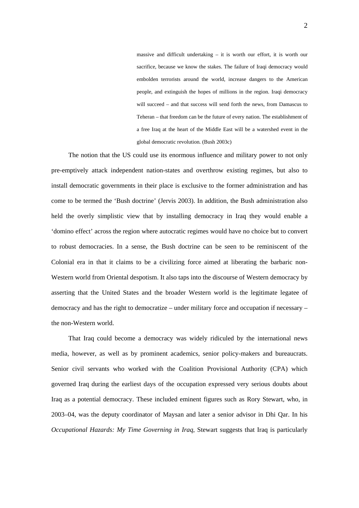massive and difficult undertaking – it is worth our effort, it is worth our sacrifice, because we know the stakes. The failure of Iraqi democracy would embolden terrorists around the world, increase dangers to the American people, and extinguish the hopes of millions in the region. Iraqi democracy will succeed – and that success will send forth the news, from Damascus to Teheran – that freedom can be the future of every nation. The establishment of a free Iraq at the heart of the Middle East will be a watershed event in the global democratic revolution. (Bush 2003c)

The notion that the US could use its enormous influence and military power to not only pre-emptively attack independent nation-states and overthrow existing regimes, but also to install democratic governments in their place is exclusive to the former administration and has come to be termed the 'Bush doctrine' (Jervis 2003). In addition, the Bush administration also held the overly simplistic view that by installing democracy in Iraq they would enable a 'domino effect' across the region where autocratic regimes would have no choice but to convert to robust democracies. In a sense, the Bush doctrine can be seen to be reminiscent of the Colonial era in that it claims to be a civilizing force aimed at liberating the barbaric non-Western world from Oriental despotism. It also taps into the discourse of Western democracy by asserting that the United States and the broader Western world is the legitimate legatee of democracy and has the right to democratize – under military force and occupation if necessary – the non-Western world.

That Iraq could become a democracy was widely ridiculed by the international news media, however, as well as by prominent academics, senior policy-makers and bureaucrats. Senior civil servants who worked with the Coalition Provisional Authority (CPA) which governed Iraq during the earliest days of the occupation expressed very serious doubts about Iraq as a potential democracy. These included eminent figures such as Rory Stewart, who, in 2003–04, was the deputy coordinator of Maysan and later a senior advisor in Dhi Qar. In his *Occupational Hazards: My Time Governing in Iraq*, Stewart suggests that Iraq is particularly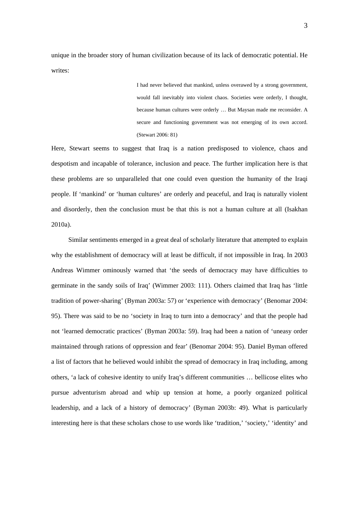unique in the broader story of human civilization because of its lack of democratic potential. He writes:

> I had never believed that mankind, unless overawed by a strong government, would fall inevitably into violent chaos. Societies were orderly, I thought, because human cultures were orderly … But Maysan made me reconsider. A secure and functioning government was not emerging of its own accord. (Stewart 2006: 81)

Here, Stewart seems to suggest that Iraq is a nation predisposed to violence, chaos and despotism and incapable of tolerance, inclusion and peace. The further implication here is that these problems are so unparalleled that one could even question the humanity of the Iraqi people. If 'mankind' or 'human cultures' are orderly and peaceful, and Iraq is naturally violent and disorderly, then the conclusion must be that this is not a human culture at all (Isakhan 2010a).

Similar sentiments emerged in a great deal of scholarly literature that attempted to explain why the establishment of democracy will at least be difficult, if not impossible in Iraq. In 2003 Andreas Wimmer ominously warned that 'the seeds of democracy may have difficulties to germinate in the sandy soils of Iraq' (Wimmer 2003: 111). Others claimed that Iraq has 'little tradition of power-sharing' (Byman 2003a: 57) or 'experience with democracy' (Benomar 2004: 95). There was said to be no 'society in Iraq to turn into a democracy' and that the people had not 'learned democratic practices' (Byman 2003a: 59). Iraq had been a nation of 'uneasy order maintained through rations of oppression and fear' (Benomar 2004: 95). Daniel Byman offered a list of factors that he believed would inhibit the spread of democracy in Iraq including, among others, 'a lack of cohesive identity to unify Iraq's different communities … bellicose elites who pursue adventurism abroad and whip up tension at home, a poorly organized political leadership, and a lack of a history of democracy' (Byman 2003b: 49). What is particularly interesting here is that these scholars chose to use words like 'tradition,' 'society,' 'identity' and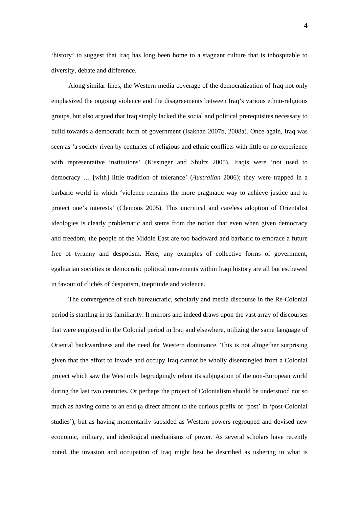'history' to suggest that Iraq has long been home to a stagnant culture that is inhospitable to diversity, debate and difference.

Along similar lines, the Western media coverage of the democratization of Iraq not only emphasized the ongoing violence and the disagreements between Iraq's various ethno-religious groups, but also argued that Iraq simply lacked the social and political prerequisites necessary to build towards a democratic form of government (Isakhan 2007b, 2008a). Once again, Iraq was seen as 'a society riven by centuries of religious and ethnic conflicts with little or no experience with representative institutions' (Kissinger and Shultz 2005). Iraqis were 'not used to democracy … [with] little tradition of tolerance' (*Australian* 2006); they were trapped in a barbaric world in which 'violence remains the more pragmatic way to achieve justice and to protect one's interests' (Clemons 2005). This uncritical and careless adoption of Orientalist ideologies is clearly problematic and stems from the notion that even when given democracy and freedom, the people of the Middle East are too backward and barbaric to embrace a future free of tyranny and despotism. Here, any examples of collective forms of government, egalitarian societies or democratic political movements within Iraqi history are all but eschewed in favour of clichés of despotism, ineptitude and violence.

The convergence of such bureaucratic, scholarly and media discourse in the Re-Colonial period is startling in its familiarity. It mirrors and indeed draws upon the vast array of discourses that were employed in the Colonial period in Iraq and elsewhere, utilizing the same language of Oriental backwardness and the need for Western dominance. This is not altogether surprising given that the effort to invade and occupy Iraq cannot be wholly disentangled from a Colonial project which saw the West only begrudgingly relent its subjugation of the non-European world during the last two centuries. Or perhaps the project of Colonialism should be understood not so much as having come to an end (a direct affront to the curious prefix of 'post' in 'post-Colonial studies'), but as having momentarily subsided as Western powers regrouped and devised new economic, military, and ideological mechanisms of power. As several scholars have recently noted, the invasion and occupation of Iraq might best be described as ushering in what is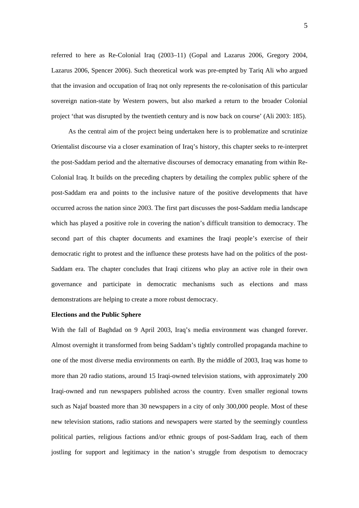referred to here as Re-Colonial Iraq (2003–11) (Gopal and Lazarus 2006, Gregory 2004, Lazarus 2006, Spencer 2006). Such theoretical work was pre-empted by Tariq Ali who argued that the invasion and occupation of Iraq not only represents the re-colonisation of this particular sovereign nation-state by Western powers, but also marked a return to the broader Colonial project 'that was disrupted by the twentieth century and is now back on course' (Ali 2003: 185).

As the central aim of the project being undertaken here is to problematize and scrutinize Orientalist discourse via a closer examination of Iraq's history, this chapter seeks to re-interpret the post-Saddam period and the alternative discourses of democracy emanating from within Re-Colonial Iraq. It builds on the preceding chapters by detailing the complex public sphere of the post-Saddam era and points to the inclusive nature of the positive developments that have occurred across the nation since 2003. The first part discusses the post-Saddam media landscape which has played a positive role in covering the nation's difficult transition to democracy. The second part of this chapter documents and examines the Iraqi people's exercise of their democratic right to protest and the influence these protests have had on the politics of the post-Saddam era. The chapter concludes that Iraqi citizens who play an active role in their own governance and participate in democratic mechanisms such as elections and mass demonstrations are helping to create a more robust democracy.

## **Elections and the Public Sphere**

With the fall of Baghdad on 9 April 2003, Iraq's media environment was changed forever. Almost overnight it transformed from being Saddam's tightly controlled propaganda machine to one of the most diverse media environments on earth. By the middle of 2003, Iraq was home to more than 20 radio stations, around 15 Iraqi-owned television stations, with approximately 200 Iraqi-owned and run newspapers published across the country. Even smaller regional towns such as Najaf boasted more than 30 newspapers in a city of only 300,000 people. Most of these new television stations, radio stations and newspapers were started by the seemingly countless political parties, religious factions and/or ethnic groups of post-Saddam Iraq, each of them jostling for support and legitimacy in the nation's struggle from despotism to democracy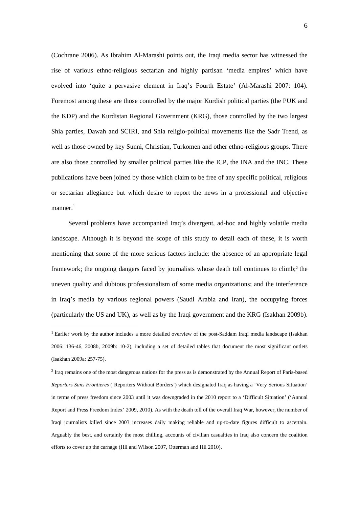(Cochrane 2006). As Ibrahim Al-Marashi points out, the Iraqi media sector has witnessed the rise of various ethno-religious sectarian and highly partisan 'media empires' which have evolved into 'quite a pervasive element in Iraq's Fourth Estate' (Al-Marashi 2007: 104). Foremost among these are those controlled by the major Kurdish political parties (the PUK and the KDP) and the Kurdistan Regional Government (KRG), those controlled by the two largest Shia parties, Dawah and SCIRI, and Shia religio-political movements like the Sadr Trend, as well as those owned by key Sunni, Christian, Turkomen and other ethno-religious groups. There are also those controlled by smaller political parties like the ICP, the INA and the INC. These publications have been joined by those which claim to be free of any specific political, religious or sectarian allegiance but which desire to report the news in a professional and objective manner.<sup>1</sup>

Several problems have accompanied Iraq's divergent, ad-hoc and highly volatile media landscape. Although it is beyond the scope of this study to detail each of these, it is worth mentioning that some of the more serious factors include: the absence of an appropriate legal framework; the ongoing dangers faced by journalists whose death toll continues to climb;<sup>2</sup> the uneven quality and dubious professionalism of some media organizations; and the interference in Iraq's media by various regional powers (Saudi Arabia and Iran), the occupying forces (particularly the US and UK), as well as by the Iraqi government and the KRG (Isakhan 2009b).

1

<sup>&</sup>lt;sup>1</sup> Earlier work by the author includes a more detailed overview of the post-Saddam Iraqi media landscape (Isakhan 2006: 136-46, 2008b, 2009b: 10-2), including a set of detailed tables that document the most significant outlets (Isakhan 2009a: 257-75).

 $2$  Iraq remains one of the most dangerous nations for the press as is demonstrated by the Annual Report of Paris-based *Reporters Sans Frontieres* ('Reporters Without Borders') which designated Iraq as having a 'Very Serious Situation' in terms of press freedom since 2003 until it was downgraded in the 2010 report to a 'Difficult Situation' ('Annual Report and Press Freedom Index' 2009, 2010). As with the death toll of the overall Iraq War, however, the number of Iraqi journalists killed since 2003 increases daily making reliable and up-to-date figures difficult to ascertain. Arguably the best, and certainly the most chilling, accounts of civilian casualties in Iraq also concern the coalition efforts to cover up the carnage (Hil and Wilson 2007, Otterman and Hil 2010).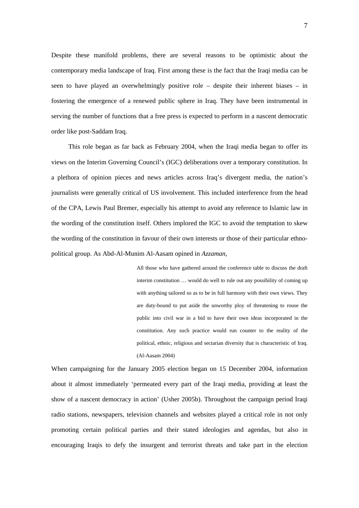Despite these manifold problems, there are several reasons to be optimistic about the contemporary media landscape of Iraq. First among these is the fact that the Iraqi media can be seen to have played an overwhelmingly positive role – despite their inherent biases – in fostering the emergence of a renewed public sphere in Iraq. They have been instrumental in serving the number of functions that a free press is expected to perform in a nascent democratic order like post-Saddam Iraq.

This role began as far back as February 2004, when the Iraqi media began to offer its views on the Interim Governing Council's (IGC) deliberations over a temporary constitution. In a plethora of opinion pieces and news articles across Iraq's divergent media, the nation's journalists were generally critical of US involvement. This included interference from the head of the CPA, Lewis Paul Bremer, especially his attempt to avoid any reference to Islamic law in the wording of the constitution itself. Others implored the IGC to avoid the temptation to skew the wording of the constitution in favour of their own interests or those of their particular ethnopolitical group. As Abd-Al-Munim Al-Aasam opined in *Azzaman*,

> All those who have gathered around the conference table to discuss the draft interim constitution … would do well to rule out any possibility of coming up with anything tailored so as to be in full harmony with their own views. They are duty-bound to put aside the unworthy ploy of threatening to rouse the public into civil war in a bid to have their own ideas incorporated in the constitution. Any such practice would run counter to the reality of the political, ethnic, religious and sectarian diversity that is characteristic of Iraq. (Al-Aasam 2004)

When campaigning for the January 2005 election began on 15 December 2004, information about it almost immediately 'permeated every part of the Iraqi media, providing at least the show of a nascent democracy in action' (Usher 2005b). Throughout the campaign period Iraqi radio stations, newspapers, television channels and websites played a critical role in not only promoting certain political parties and their stated ideologies and agendas, but also in encouraging Iraqis to defy the insurgent and terrorist threats and take part in the election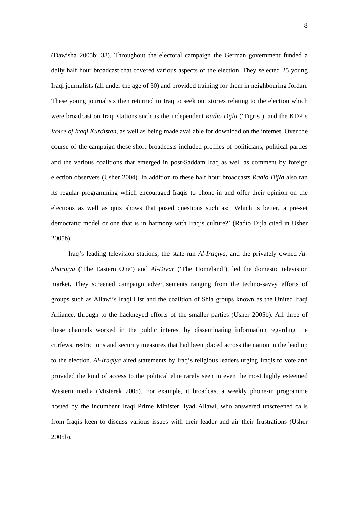(Dawisha 2005b: 38). Throughout the electoral campaign the German government funded a daily half hour broadcast that covered various aspects of the election. They selected 25 young Iraqi journalists (all under the age of 30) and provided training for them in neighbouring Jordan. These young journalists then returned to Iraq to seek out stories relating to the election which were broadcast on Iraqi stations such as the independent *Radio Dijla* ('Tigris'), and the KDP's *Voice of Iraqi Kurdistan*, as well as being made available for download on the internet. Over the course of the campaign these short broadcasts included profiles of politicians, political parties and the various coalitions that emerged in post-Saddam Iraq as well as comment by foreign election observers (Usher 2004). In addition to these half hour broadcasts *Radio Dijla* also ran its regular programming which encouraged Iraqis to phone-in and offer their opinion on the elections as well as quiz shows that posed questions such as: 'Which is better, a pre-set democratic model or one that is in harmony with Iraq's culture?' (Radio Dijla cited in Usher 2005b).

Iraq's leading television stations, the state-run *Al-Iraqiya*, and the privately owned *Al-Sharqiya* ('The Eastern One') and *Al-Diyar* ('The Homeland'), led the domestic television market. They screened campaign advertisements ranging from the techno-savvy efforts of groups such as Allawi's Iraqi List and the coalition of Shia groups known as the United Iraqi Alliance, through to the hackneyed efforts of the smaller parties (Usher 2005b). All three of these channels worked in the public interest by disseminating information regarding the curfews, restrictions and security measures that had been placed across the nation in the lead up to the election. *Al-Iraqiya* aired statements by Iraq's religious leaders urging Iraqis to vote and provided the kind of access to the political elite rarely seen in even the most highly esteemed Western media (Misterek 2005). For example, it broadcast a weekly phone-in programme hosted by the incumbent Iraqi Prime Minister, Iyad Allawi, who answered unscreened calls from Iraqis keen to discuss various issues with their leader and air their frustrations (Usher 2005b).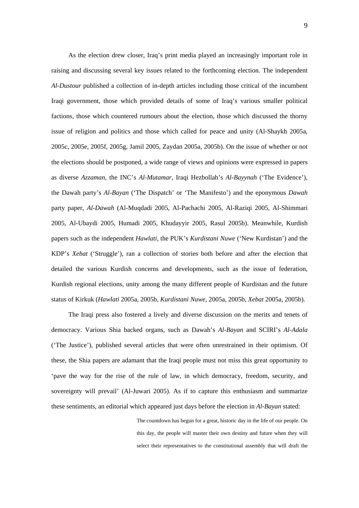As the election drew closer, Iraq's print media played an increasingly important role in raising and discussing several key issues related to the forthcoming election. The independent *Al-Dustour* published a collection of in-depth articles including those critical of the incumbent Iraqi government, those which provided details of some of Iraq's various smaller political factions, those which countered rumours about the election, those which discussed the thorny issue of religion and politics and those which called for peace and unity (Al-Shaykh 2005a, 2005c, 2005e, 2005f, 2005g, Jamil 2005, Zaydan 2005a, 2005b). On the issue of whether or not the elections should be postponed, a wide range of views and opinions were expressed in papers as diverse *Azzaman*, the INC's *Al-Mutamar*, Iraqi Hezbollah's *Al-Bayynah* ('The Evidence'), the Dawah party's *Al-Bayan* ('The Dispatch' or 'The Manifesto') and the eponymous *Dawah*  party paper, *Al-Dawah* (Al-Muqdadi 2005, Al-Pachachi 2005, Al-Raziqi 2005, Al-Shimmari 2005, Al-Ubaydi 2005, Humadi 2005, Khudayyir 2005, Rasul 2005b). Meanwhile, Kurdish papers such as the independent *Hawlati*, the PUK's *Kurdistani Nuwe* ('New Kurdistan') and the KDP's *Xebat* ('Struggle'), ran a collection of stories both before and after the election that detailed the various Kurdish concerns and developments, such as the issue of federation, Kurdish regional elections, unity among the many different people of Kurdistan and the future status of Kirkuk (*Hawlati* 2005a, 2005b, *Kurdistani Nuwe*, 2005a, 2005b, *Xebat* 2005a, 2005b).

The Iraqi press also fostered a lively and diverse discussion on the merits and tenets of democracy. Various Shia backed organs, such as Dawah's *Al-Bayan* and SCIRI's *Al-Adala* ('The Justice'), published several articles that were often unrestrained in their optimism. Of these, the Shia papers are adamant that the Iraqi people must not miss this great opportunity to 'pave the way for the rise of the rule of law, in which democracy, freedom, security, and sovereignty will prevail' (Al-Juwari 2005). As if to capture this enthusiasm and summarize these sentiments, an editorial which appeared just days before the election in *Al-Bayan* stated:

> The countdown has begun for a great, historic day in the life of our people. On this day, the people will master their own destiny and future when they will select their representatives to the constitutional assembly that will draft the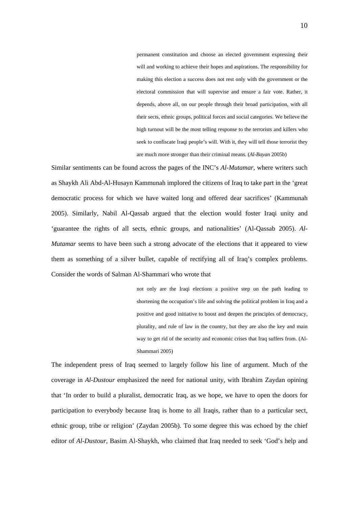permanent constitution and choose an elected government expressing their will and working to achieve their hopes and aspirations. The responsibility for making this election a success does not rest only with the government or the electoral commission that will supervise and ensure a fair vote. Rather, it depends, above all, on our people through their broad participation, with all their sects, ethnic groups, political forces and social categories. We believe the high turnout will be the most telling response to the terrorists and killers who seek to confiscate Iraqi people's will. With it, they will tell those terrorist they are much more stronger than their criminal means. (*Al-Bayan* 2005b)

Similar sentiments can be found across the pages of the INC's *Al-Mutamar*, where writers such as Shaykh Ali Abd-Al-Husayn Kammunah implored the citizens of Iraq to take part in the 'great democratic process for which we have waited long and offered dear sacrifices' (Kammunah 2005). Similarly, Nabil Al-Qassab argued that the election would foster Iraqi unity and 'guarantee the rights of all sects, ethnic groups, and nationalities' (Al-Qassab 2005). *Al-Mutamar* seems to have been such a strong advocate of the elections that it appeared to view them as something of a silver bullet, capable of rectifying all of Iraq's complex problems. Consider the words of Salman Al-Shammari who wrote that

> not only are the Iraqi elections a positive step on the path leading to shortening the occupation's life and solving the political problem in Iraq and a positive and good initiative to boost and deepen the principles of democracy, plurality, and rule of law in the country, but they are also the key and main way to get rid of the security and economic crises that Iraq suffers from. (Al-Shammari 2005)

The independent press of Iraq seemed to largely follow his line of argument. Much of the coverage in *Al-Dustour* emphasized the need for national unity, with Ibrahim Zaydan opining that 'In order to build a pluralist, democratic Iraq, as we hope, we have to open the doors for participation to everybody because Iraq is home to all Iraqis, rather than to a particular sect, ethnic group, tribe or religion' (Zaydan 2005b). To some degree this was echoed by the chief editor of *Al-Dustour*, Basim Al-Shaykh, who claimed that Iraq needed to seek 'God's help and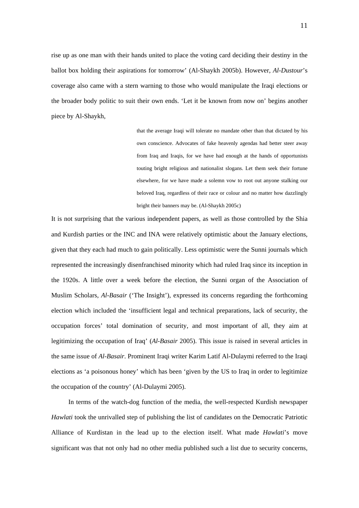rise up as one man with their hands united to place the voting card deciding their destiny in the ballot box holding their aspirations for tomorrow' (Al-Shaykh 2005b). However, *Al-Dustour*'s coverage also came with a stern warning to those who would manipulate the Iraqi elections or the broader body politic to suit their own ends. 'Let it be known from now on' begins another piece by Al-Shaykh,

> that the average Iraqi will tolerate no mandate other than that dictated by his own conscience. Advocates of fake heavenly agendas had better steer away from Iraq and Iraqis, for we have had enough at the hands of opportunists touting bright religious and nationalist slogans. Let them seek their fortune elsewhere, for we have made a solemn vow to root out anyone stalking our beloved Iraq, regardless of their race or colour and no matter how dazzlingly bright their banners may be. (Al-Shaykh 2005c)

It is not surprising that the various independent papers, as well as those controlled by the Shia and Kurdish parties or the INC and INA were relatively optimistic about the January elections, given that they each had much to gain politically. Less optimistic were the Sunni journals which represented the increasingly disenfranchised minority which had ruled Iraq since its inception in the 1920s. A little over a week before the election, the Sunni organ of the Association of Muslim Scholars, *Al-Basair* ('The Insight'), expressed its concerns regarding the forthcoming election which included the 'insufficient legal and technical preparations, lack of security, the occupation forces' total domination of security, and most important of all, they aim at legitimizing the occupation of Iraq' (*Al-Basair* 2005). This issue is raised in several articles in the same issue of *Al-Basair*. Prominent Iraqi writer Karim Latif Al-Dulaymi referred to the Iraqi elections as 'a poisonous honey' which has been 'given by the US to Iraq in order to legitimize the occupation of the country' (Al-Dulaymi 2005).

In terms of the watch-dog function of the media, the well-respected Kurdish newspaper *Hawlati* took the unrivalled step of publishing the list of candidates on the Democratic Patriotic Alliance of Kurdistan in the lead up to the election itself. What made *Hawlati*'s move significant was that not only had no other media published such a list due to security concerns,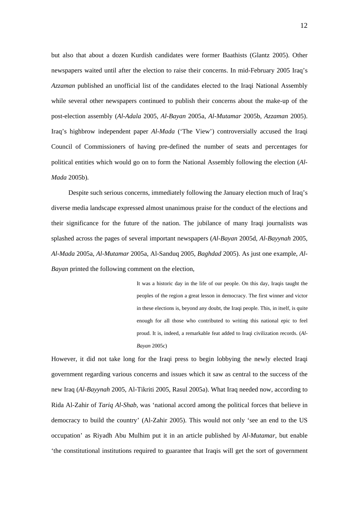but also that about a dozen Kurdish candidates were former Baathists (Glantz 2005). Other newspapers waited until after the election to raise their concerns. In mid-February 2005 Iraq's *Azzaman* published an unofficial list of the candidates elected to the Iraqi National Assembly while several other newspapers continued to publish their concerns about the make-up of the post-election assembly (*Al-Adala* 2005, *Al-Bayan* 2005a, *Al-Mutamar* 2005b, *Azzaman* 2005). Iraq's highbrow independent paper *Al-Mada* ('The View') controversially accused the Iraqi Council of Commissioners of having pre-defined the number of seats and percentages for political entities which would go on to form the National Assembly following the election (*Al-Mada* 2005b).

Despite such serious concerns, immediately following the January election much of Iraq's diverse media landscape expressed almost unanimous praise for the conduct of the elections and their significance for the future of the nation. The jubilance of many Iraqi journalists was splashed across the pages of several important newspapers (*Al-Bayan* 2005d, *Al-Bayynah* 2005, *Al-Mada* 2005a, *Al-Mutamar* 2005a, Al-Sanduq 2005, *Baghdad* 2005). As just one example, *Al-Bayan* printed the following comment on the election,

> It was a historic day in the life of our people. On this day, Iraqis taught the peoples of the region a great lesson in democracy. The first winner and victor in these elections is, beyond any doubt, the Iraqi people. This, in itself, is quite enough for all those who contributed to writing this national epic to feel proud. It is, indeed, a remarkable feat added to Iraqi civilization records. (*Al-Bayan* 2005c)

However, it did not take long for the Iraqi press to begin lobbying the newly elected Iraqi government regarding various concerns and issues which it saw as central to the success of the new Iraq (*Al-Bayynah* 2005, Al-Tikriti 2005, Rasul 2005a). What Iraq needed now, according to Rida Al-Zahir of *Tariq Al-Shab*, was 'national accord among the political forces that believe in democracy to build the country' (Al-Zahir 2005). This would not only 'see an end to the US occupation' as Riyadh Abu Mulhim put it in an article published by *Al-Mutamar*, but enable 'the constitutional institutions required to guarantee that Iraqis will get the sort of government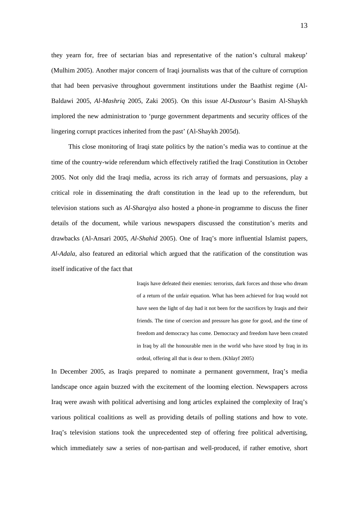they yearn for, free of sectarian bias and representative of the nation's cultural makeup' (Mulhim 2005). Another major concern of Iraqi journalists was that of the culture of corruption that had been pervasive throughout government institutions under the Baathist regime (Al-Baldawi 2005, *Al-Mashriq* 2005, Zaki 2005). On this issue *Al-Dustour*'s Basim Al-Shaykh implored the new administration to 'purge government departments and security offices of the lingering corrupt practices inherited from the past' (Al-Shaykh 2005d).

This close monitoring of Iraqi state politics by the nation's media was to continue at the time of the country-wide referendum which effectively ratified the Iraqi Constitution in October 2005. Not only did the Iraqi media, across its rich array of formats and persuasions, play a critical role in disseminating the draft constitution in the lead up to the referendum, but television stations such as *Al-Sharqiya* also hosted a phone-in programme to discuss the finer details of the document, while various newspapers discussed the constitution's merits and drawbacks (Al-Ansari 2005, *Al-Shahid* 2005). One of Iraq's more influential Islamist papers, *Al-Adala*, also featured an editorial which argued that the ratification of the constitution was itself indicative of the fact that

> Iraqis have defeated their enemies: terrorists, dark forces and those who dream of a return of the unfair equation. What has been achieved for Iraq would not have seen the light of day had it not been for the sacrifices by Iraqis and their friends. The time of coercion and pressure has gone for good, and the time of freedom and democracy has come. Democracy and freedom have been created in Iraq by all the honourable men in the world who have stood by Iraq in its ordeal, offering all that is dear to them. (Khlayf 2005)

In December 2005, as Iraqis prepared to nominate a permanent government, Iraq's media landscape once again buzzed with the excitement of the looming election. Newspapers across Iraq were awash with political advertising and long articles explained the complexity of Iraq's various political coalitions as well as providing details of polling stations and how to vote. Iraq's television stations took the unprecedented step of offering free political advertising, which immediately saw a series of non-partisan and well-produced, if rather emotive, short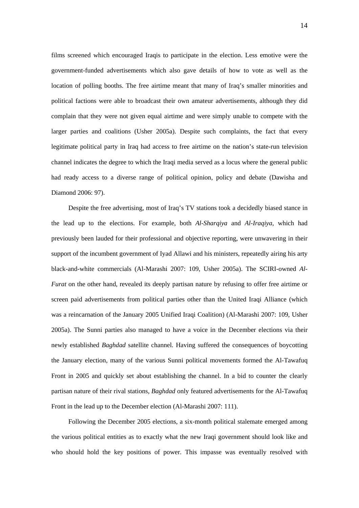films screened which encouraged Iraqis to participate in the election. Less emotive were the government-funded advertisements which also gave details of how to vote as well as the location of polling booths. The free airtime meant that many of Iraq's smaller minorities and political factions were able to broadcast their own amateur advertisements, although they did complain that they were not given equal airtime and were simply unable to compete with the larger parties and coalitions (Usher 2005a). Despite such complaints, the fact that every legitimate political party in Iraq had access to free airtime on the nation's state-run television channel indicates the degree to which the Iraqi media served as a locus where the general public had ready access to a diverse range of political opinion, policy and debate (Dawisha and Diamond 2006: 97).

Despite the free advertising, most of Iraq's TV stations took a decidedly biased stance in the lead up to the elections. For example, both *Al-Sharqiya* and *Al-Iraqiya*, which had previously been lauded for their professional and objective reporting, were unwavering in their support of the incumbent government of Iyad Allawi and his ministers, repeatedly airing his arty black-and-white commercials (Al-Marashi 2007: 109, Usher 2005a). The SCIRI-owned *Al-Furat* on the other hand, revealed its deeply partisan nature by refusing to offer free airtime or screen paid advertisements from political parties other than the United Iraqi Alliance (which was a reincarnation of the January 2005 Unified Iraqi Coalition) (Al-Marashi 2007: 109, Usher 2005a). The Sunni parties also managed to have a voice in the December elections via their newly established *Baghdad* satellite channel. Having suffered the consequences of boycotting the January election, many of the various Sunni political movements formed the Al-Tawafuq Front in 2005 and quickly set about establishing the channel. In a bid to counter the clearly partisan nature of their rival stations, *Baghdad* only featured advertisements for the Al-Tawafuq Front in the lead up to the December election (Al-Marashi 2007: 111).

Following the December 2005 elections, a six-month political stalemate emerged among the various political entities as to exactly what the new Iraqi government should look like and who should hold the key positions of power. This impasse was eventually resolved with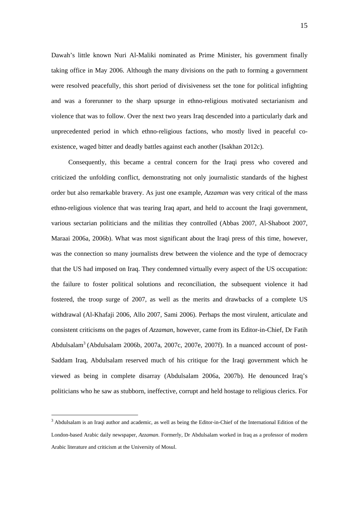Dawah's little known Nuri Al-Maliki nominated as Prime Minister, his government finally taking office in May 2006. Although the many divisions on the path to forming a government were resolved peacefully, this short period of divisiveness set the tone for political infighting and was a forerunner to the sharp upsurge in ethno-religious motivated sectarianism and violence that was to follow. Over the next two years Iraq descended into a particularly dark and unprecedented period in which ethno-religious factions, who mostly lived in peaceful coexistence, waged bitter and deadly battles against each another (Isakhan 2012c).

Consequently, this became a central concern for the Iraqi press who covered and criticized the unfolding conflict, demonstrating not only journalistic standards of the highest order but also remarkable bravery. As just one example, *Azzaman* was very critical of the mass ethno-religious violence that was tearing Iraq apart, and held to account the Iraqi government, various sectarian politicians and the militias they controlled (Abbas 2007, Al-Shaboot 2007, Maraai 2006a, 2006b). What was most significant about the Iraqi press of this time, however, was the connection so many journalists drew between the violence and the type of democracy that the US had imposed on Iraq. They condemned virtually every aspect of the US occupation: the failure to foster political solutions and reconciliation, the subsequent violence it had fostered, the troop surge of 2007, as well as the merits and drawbacks of a complete US withdrawal (Al-Khafaji 2006, Allo 2007, Sami 2006). Perhaps the most virulent, articulate and consistent criticisms on the pages of *Azzaman*, however, came from its Editor-in-Chief, Dr Fatih Abdulsalam<sup>3</sup> (Abdulsalam 2006b, 2007a, 2007c, 2007e, 2007f). In a nuanced account of post-Saddam Iraq, Abdulsalam reserved much of his critique for the Iraqi government which he viewed as being in complete disarray (Abdulsalam 2006a, 2007b). He denounced Iraq's politicians who he saw as stubborn, ineffective, corrupt and held hostage to religious clerics. For

<u>.</u>

<sup>&</sup>lt;sup>3</sup> Abdulsalam is an Iraqi author and academic, as well as being the Editor-in-Chief of the International Edition of the London-based Arabic daily newspaper, *Azzaman*. Formerly, Dr Abdulsalam worked in Iraq as a professor of modern Arabic literature and criticism at the University of Mosul.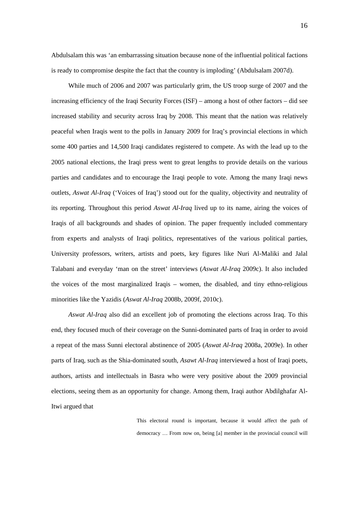Abdulsalam this was 'an embarrassing situation because none of the influential political factions is ready to compromise despite the fact that the country is imploding' (Abdulsalam 2007d).

While much of 2006 and 2007 was particularly grim, the US troop surge of 2007 and the increasing efficiency of the Iraqi Security Forces (ISF) – among a host of other factors – did see increased stability and security across Iraq by 2008. This meant that the nation was relatively peaceful when Iraqis went to the polls in January 2009 for Iraq's provincial elections in which some 400 parties and 14,500 Iraqi candidates registered to compete. As with the lead up to the 2005 national elections, the Iraqi press went to great lengths to provide details on the various parties and candidates and to encourage the Iraqi people to vote. Among the many Iraqi news outlets, *Aswat Al-Iraq* ('Voices of Iraq') stood out for the quality, objectivity and neutrality of its reporting. Throughout this period *Aswat Al-Iraq* lived up to its name, airing the voices of Iraqis of all backgrounds and shades of opinion. The paper frequently included commentary from experts and analysts of Iraqi politics, representatives of the various political parties, University professors, writers, artists and poets, key figures like Nuri Al-Maliki and Jalal Talabani and everyday 'man on the street' interviews (*Aswat Al-Iraq* 2009c). It also included the voices of the most marginalized Iraqis – women, the disabled, and tiny ethno-religious minorities like the Yazidis (*Aswat Al-Iraq* 2008b, 2009f, 2010c).

*Aswat Al-Iraq* also did an excellent job of promoting the elections across Iraq. To this end, they focused much of their coverage on the Sunni-dominated parts of Iraq in order to avoid a repeat of the mass Sunni electoral abstinence of 2005 (*Aswat Al-Iraq* 2008a, 2009e). In other parts of Iraq, such as the Shia-dominated south, *Asawt Al-Iraq* interviewed a host of Iraqi poets, authors, artists and intellectuals in Basra who were very positive about the 2009 provincial elections, seeing them as an opportunity for change. Among them, Iraqi author Abdilghafar Al-Itwi argued that

> This electoral round is important, because it would affect the path of democracy … From now on, being [a] member in the provincial council will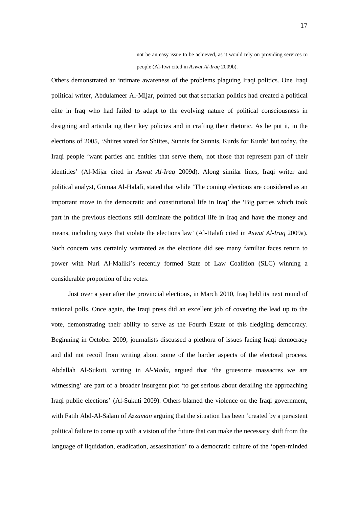not be an easy issue to be achieved, as it would rely on providing services to people (Al-Itwi cited in *Aswat Al-Iraq* 2009b).

Others demonstrated an intimate awareness of the problems plaguing Iraqi politics. One Iraqi political writer, Abdulameer Al-Mijar, pointed out that sectarian politics had created a political elite in Iraq who had failed to adapt to the evolving nature of political consciousness in designing and articulating their key policies and in crafting their rhetoric. As he put it, in the elections of 2005, 'Shiites voted for Shiites, Sunnis for Sunnis, Kurds for Kurds' but today, the Iraqi people 'want parties and entities that serve them, not those that represent part of their identities' (Al-Mijar cited in *Aswat Al-Iraq* 2009d). Along similar lines, Iraqi writer and political analyst, Gomaa Al-Halafi, stated that while 'The coming elections are considered as an important move in the democratic and constitutional life in Iraq' the 'Big parties which took part in the previous elections still dominate the political life in Iraq and have the money and means, including ways that violate the elections law' (Al-Halafi cited in *Aswat Al-Iraq* 2009a). Such concern was certainly warranted as the elections did see many familiar faces return to power with Nuri Al-Maliki's recently formed State of Law Coalition (SLC) winning a considerable proportion of the votes.

Just over a year after the provincial elections, in March 2010, Iraq held its next round of national polls. Once again, the Iraqi press did an excellent job of covering the lead up to the vote, demonstrating their ability to serve as the Fourth Estate of this fledgling democracy. Beginning in October 2009, journalists discussed a plethora of issues facing Iraqi democracy and did not recoil from writing about some of the harder aspects of the electoral process. Abdallah Al-Sukuti, writing in *Al-Mada*, argued that 'the gruesome massacres we are witnessing' are part of a broader insurgent plot 'to get serious about derailing the approaching Iraqi public elections' (Al-Sukuti 2009). Others blamed the violence on the Iraqi government, with Fatih Abd-Al-Salam of *Azzaman* arguing that the situation has been 'created by a persistent political failure to come up with a vision of the future that can make the necessary shift from the language of liquidation, eradication, assassination' to a democratic culture of the 'open-minded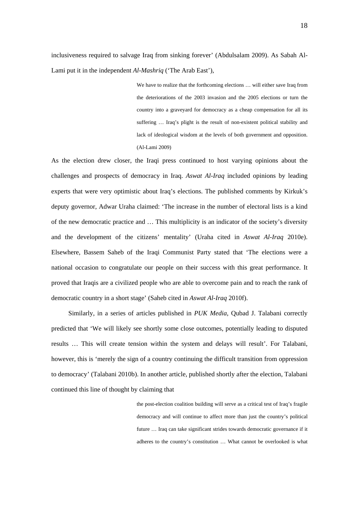inclusiveness required to salvage Iraq from sinking forever' (Abdulsalam 2009). As Sabah Al-Lami put it in the independent *Al-Mashriq* ('The Arab East'),

> We have to realize that the forthcoming elections … will either save Iraq from the deteriorations of the 2003 invasion and the 2005 elections or turn the country into a graveyard for democracy as a cheap compensation for all its suffering … Iraq's plight is the result of non-existent political stability and lack of ideological wisdom at the levels of both government and opposition. (Al-Lami 2009)

As the election drew closer, the Iraqi press continued to host varying opinions about the challenges and prospects of democracy in Iraq. *Aswat Al-Iraq* included opinions by leading experts that were very optimistic about Iraq's elections. The published comments by Kirkuk's deputy governor, Adwar Uraha claimed: 'The increase in the number of electoral lists is a kind of the new democratic practice and … This multiplicity is an indicator of the society's diversity and the development of the citizens' mentality' (Uraha cited in *Aswat Al-Iraq* 2010e). Elsewhere, Bassem Saheb of the Iraqi Communist Party stated that 'The elections were a national occasion to congratulate our people on their success with this great performance. It proved that Iraqis are a civilized people who are able to overcome pain and to reach the rank of democratic country in a short stage' (Saheb cited in *Aswat Al-Iraq* 2010f).

Similarly, in a series of articles published in *PUK Media*, Qubad J. Talabani correctly predicted that 'We will likely see shortly some close outcomes, potentially leading to disputed results … This will create tension within the system and delays will result'. For Talabani, however, this is 'merely the sign of a country continuing the difficult transition from oppression to democracy' (Talabani 2010b). In another article, published shortly after the election, Talabani continued this line of thought by claiming that

> the post-election coalition building will serve as a critical test of Iraq's fragile democracy and will continue to affect more than just the country's political future … Iraq can take significant strides towards democratic governance if it adheres to the country's constitution … What cannot be overlooked is what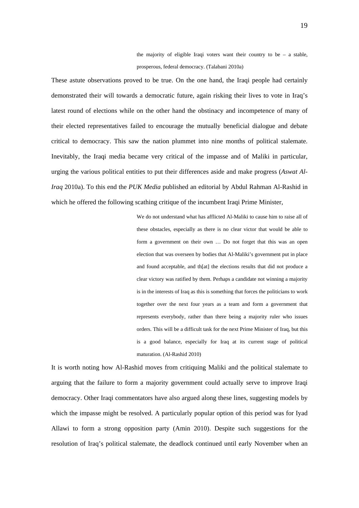the majority of eligible Iraqi voters want their country to be  $-$  a stable, prosperous, federal democracy. (Talabani 2010a)

These astute observations proved to be true. On the one hand, the Iraqi people had certainly demonstrated their will towards a democratic future, again risking their lives to vote in Iraq's latest round of elections while on the other hand the obstinacy and incompetence of many of their elected representatives failed to encourage the mutually beneficial dialogue and debate critical to democracy. This saw the nation plummet into nine months of political stalemate. Inevitably, the Iraqi media became very critical of the impasse and of Maliki in particular, urging the various political entities to put their differences aside and make progress (*Aswat Al-Iraq* 2010a). To this end the *PUK Media* published an editorial by Abdul Rahman Al-Rashid in which he offered the following scathing critique of the incumbent Iraqi Prime Minister,

> We do not understand what has afflicted Al-Maliki to cause him to raise all of these obstacles, especially as there is no clear victor that would be able to form a government on their own … Do not forget that this was an open election that was overseen by bodies that Al-Maliki's government put in place and found acceptable, and th[at] the elections results that did not produce a clear victory was ratified by them. Perhaps a candidate not winning a majority is in the interests of Iraq as this is something that forces the politicians to work together over the next four years as a team and form a government that represents everybody, rather than there being a majority ruler who issues orders. This will be a difficult task for the next Prime Minister of Iraq, but this is a good balance, especially for Iraq at its current stage of political maturation. (Al-Rashid 2010)

It is worth noting how Al-Rashid moves from critiquing Maliki and the political stalemate to arguing that the failure to form a majority government could actually serve to improve Iraqi democracy. Other Iraqi commentators have also argued along these lines, suggesting models by which the impasse might be resolved. A particularly popular option of this period was for Iyad Allawi to form a strong opposition party (Amin 2010). Despite such suggestions for the resolution of Iraq's political stalemate, the deadlock continued until early November when an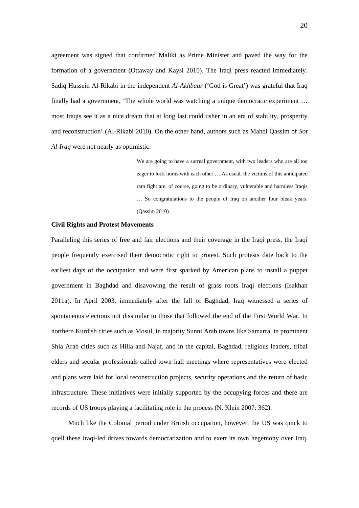agreement was signed that confirmed Maliki as Prime Minister and paved the way for the formation of a government (Ottaway and Kaysi 2010). The Iraqi press reacted immediately. Sadiq Hussein Al-Rikabi in the independent *Al-Akhbaar* ('God is Great') was grateful that Iraq finally had a government, 'The whole world was watching a unique democratic experiment … most Iraqis see it as a nice dream that at long last could usher in an era of stability, prosperity and reconstruction' (Al-Rikabi 2010). On the other hand, authors such as Mahdi Qassim of *Sot Al-Iraq* were not nearly as optimistic:

> We are going to have a surreal government, with two leaders who are all too eager to lock horns with each other … As usual, the victims of this anticipated ram fight are, of course, going to be ordinary, vulnerable and harmless Iraqis … So congratulations to the people of Iraq on another four bleak years. (Qassim 2010)

# **Civil Rights and Protest Movements**

Paralleling this series of free and fair elections and their coverage in the Iraqi press, the Iraqi people frequently exercised their democratic right to protest. Such protests date back to the earliest days of the occupation and were first sparked by American plans to install a puppet government in Baghdad and disavowing the result of grass roots Iraqi elections (Isakhan 2011a). In April 2003, immediately after the fall of Baghdad, Iraq witnessed a series of spontaneous elections not dissimilar to those that followed the end of the First World War. In northern Kurdish cities such as Mosul, in majority Sunni Arab towns like Samarra, in prominent Shia Arab cities such as Hilla and Najaf, and in the capital, Baghdad, religious leaders, tribal elders and secular professionals called town hall meetings where representatives were elected and plans were laid for local reconstruction projects, security operations and the return of basic infrastructure. These initiatives were initially supported by the occupying forces and there are records of US troops playing a facilitating role in the process (N. Klein 2007: 362).

Much like the Colonial period under British occupation, however, the US was quick to quell these Iraqi-led drives towards democratization and to exert its own hegemony over Iraq.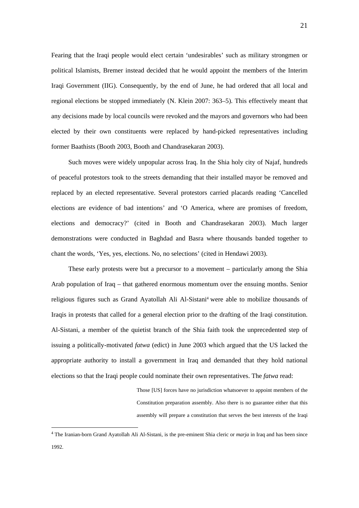Fearing that the Iraqi people would elect certain 'undesirables' such as military strongmen or political Islamists, Bremer instead decided that he would appoint the members of the Interim Iraqi Government (IIG). Consequently, by the end of June, he had ordered that all local and regional elections be stopped immediately (N. Klein 2007: 363–5). This effectively meant that any decisions made by local councils were revoked and the mayors and governors who had been elected by their own constituents were replaced by hand-picked representatives including former Baathists (Booth 2003, Booth and Chandrasekaran 2003).

Such moves were widely unpopular across Iraq. In the Shia holy city of Najaf, hundreds of peaceful protestors took to the streets demanding that their installed mayor be removed and replaced by an elected representative. Several protestors carried placards reading 'Cancelled elections are evidence of bad intentions' and 'O America, where are promises of freedom, elections and democracy?' (cited in Booth and Chandrasekaran 2003). Much larger demonstrations were conducted in Baghdad and Basra where thousands banded together to chant the words, 'Yes, yes, elections. No, no selections' (cited in Hendawi 2003).

These early protests were but a precursor to a movement – particularly among the Shia Arab population of Iraq – that gathered enormous momentum over the ensuing months. Senior religious figures such as Grand Ayatollah Ali Al-Sistani<sup>4</sup> were able to mobilize thousands of Iraqis in protests that called for a general election prior to the drafting of the Iraqi constitution. Al-Sistani, a member of the quietist branch of the Shia faith took the unprecedented step of issuing a politically-motivated *fatwa* (edict) in June 2003 which argued that the US lacked the appropriate authority to install a government in Iraq and demanded that they hold national elections so that the Iraqi people could nominate their own representatives. The *fatwa* read:

> Those [US] forces have no jurisdiction whatsoever to appoint members of the Constitution preparation assembly. Also there is no guarantee either that this assembly will prepare a constitution that serves the best interests of the Iraqi

<u>.</u>

<sup>4</sup> The Iranian-born Grand Ayatollah Ali Al-Sistani, is the pre-eminent Shia cleric or *marja* in Iraq and has been since 1992.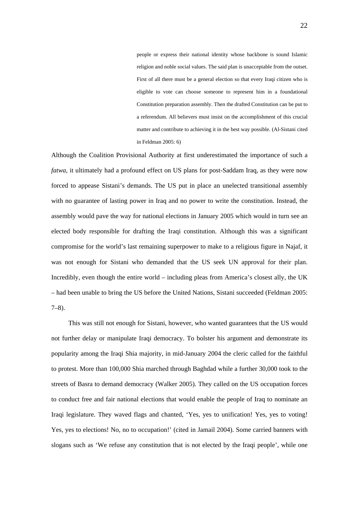people or express their national identity whose backbone is sound Islamic religion and noble social values. The said plan is unacceptable from the outset. First of all there must be a general election so that every Iraqi citizen who is eligible to vote can choose someone to represent him in a foundational Constitution preparation assembly. Then the drafted Constitution can be put to a referendum. All believers must insist on the accomplishment of this crucial matter and contribute to achieving it in the best way possible. (Al-Sistani cited in Feldman 2005: 6)

Although the Coalition Provisional Authority at first underestimated the importance of such a *fatwa*, it ultimately had a profound effect on US plans for post-Saddam Iraq, as they were now forced to appease Sistani's demands. The US put in place an unelected transitional assembly with no guarantee of lasting power in Iraq and no power to write the constitution. Instead, the assembly would pave the way for national elections in January 2005 which would in turn see an elected body responsible for drafting the Iraqi constitution. Although this was a significant compromise for the world's last remaining superpower to make to a religious figure in Najaf, it was not enough for Sistani who demanded that the US seek UN approval for their plan. Incredibly, even though the entire world – including pleas from America's closest ally, the UK – had been unable to bring the US before the United Nations, Sistani succeeded (Feldman 2005:  $7-8$ ).

This was still not enough for Sistani, however, who wanted guarantees that the US would not further delay or manipulate Iraqi democracy. To bolster his argument and demonstrate its popularity among the Iraqi Shia majority, in mid-January 2004 the cleric called for the faithful to protest. More than 100,000 Shia marched through Baghdad while a further 30,000 took to the streets of Basra to demand democracy (Walker 2005). They called on the US occupation forces to conduct free and fair national elections that would enable the people of Iraq to nominate an Iraqi legislature. They waved flags and chanted, 'Yes, yes to unification! Yes, yes to voting! Yes, yes to elections! No, no to occupation!' (cited in Jamail 2004). Some carried banners with slogans such as 'We refuse any constitution that is not elected by the Iraqi people', while one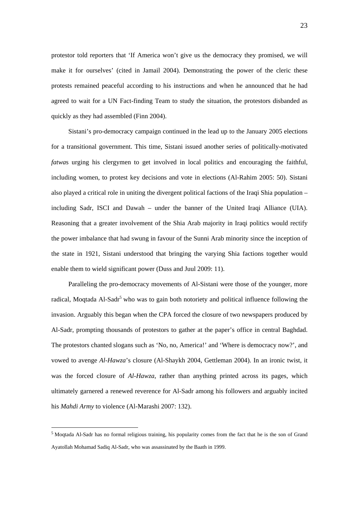protestor told reporters that 'If America won't give us the democracy they promised, we will make it for ourselves' (cited in Jamail 2004). Demonstrating the power of the cleric these protests remained peaceful according to his instructions and when he announced that he had agreed to wait for a UN Fact-finding Team to study the situation, the protestors disbanded as quickly as they had assembled (Finn 2004).

Sistani's pro-democracy campaign continued in the lead up to the January 2005 elections for a transitional government. This time, Sistani issued another series of politically-motivated *fatwas* urging his clergymen to get involved in local politics and encouraging the faithful, including women, to protest key decisions and vote in elections (Al-Rahim 2005: 50). Sistani also played a critical role in uniting the divergent political factions of the Iraqi Shia population – including Sadr, ISCI and Dawah – under the banner of the United Iraqi Alliance (UIA). Reasoning that a greater involvement of the Shia Arab majority in Iraqi politics would rectify the power imbalance that had swung in favour of the Sunni Arab minority since the inception of the state in 1921, Sistani understood that bringing the varying Shia factions together would enable them to wield significant power (Duss and Juul 2009: 11).

Paralleling the pro-democracy movements of Al-Sistani were those of the younger, more radical, Moqtada Al-Sadr<sup>5</sup> who was to gain both notoriety and political influence following the invasion. Arguably this began when the CPA forced the closure of two newspapers produced by Al-Sadr, prompting thousands of protestors to gather at the paper's office in central Baghdad. The protestors chanted slogans such as 'No, no, America!' and 'Where is democracy now?', and vowed to avenge *Al-Hawza*'s closure (Al-Shaykh 2004, Gettleman 2004). In an ironic twist, it was the forced closure of *Al-Hawza*, rather than anything printed across its pages, which ultimately garnered a renewed reverence for Al-Sadr among his followers and arguably incited his *Mahdi Army* to violence (Al-Marashi 2007: 132).

<u>.</u>

<sup>&</sup>lt;sup>5</sup> Moqtada Al-Sadr has no formal religious training, his popularity comes from the fact that he is the son of Grand Ayatollah Mohamad Sadiq Al-Sadr, who was assassinated by the Baath in 1999.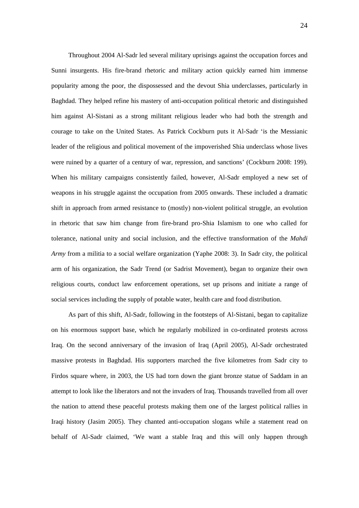Throughout 2004 Al-Sadr led several military uprisings against the occupation forces and Sunni insurgents. His fire-brand rhetoric and military action quickly earned him immense popularity among the poor, the dispossessed and the devout Shia underclasses, particularly in Baghdad. They helped refine his mastery of anti-occupation political rhetoric and distinguished him against Al-Sistani as a strong militant religious leader who had both the strength and courage to take on the United States. As Patrick Cockburn puts it Al-Sadr 'is the Messianic leader of the religious and political movement of the impoverished Shia underclass whose lives were ruined by a quarter of a century of war, repression, and sanctions' (Cockburn 2008: 199). When his military campaigns consistently failed, however, Al-Sadr employed a new set of weapons in his struggle against the occupation from 2005 onwards. These included a dramatic shift in approach from armed resistance to (mostly) non-violent political struggle, an evolution in rhetoric that saw him change from fire-brand pro-Shia Islamism to one who called for tolerance, national unity and social inclusion, and the effective transformation of the *Mahdi Army* from a militia to a social welfare organization (Yaphe 2008: 3). In Sadr city, the political arm of his organization, the Sadr Trend (or Sadrist Movement), began to organize their own religious courts, conduct law enforcement operations, set up prisons and initiate a range of social services including the supply of potable water, health care and food distribution.

As part of this shift, Al-Sadr, following in the footsteps of Al-Sistani, began to capitalize on his enormous support base, which he regularly mobilized in co-ordinated protests across Iraq. On the second anniversary of the invasion of Iraq (April 2005), Al-Sadr orchestrated massive protests in Baghdad. His supporters marched the five kilometres from Sadr city to Firdos square where, in 2003, the US had torn down the giant bronze statue of Saddam in an attempt to look like the liberators and not the invaders of Iraq. Thousands travelled from all over the nation to attend these peaceful protests making them one of the largest political rallies in Iraqi history (Jasim 2005). They chanted anti-occupation slogans while a statement read on behalf of Al-Sadr claimed, 'We want a stable Iraq and this will only happen through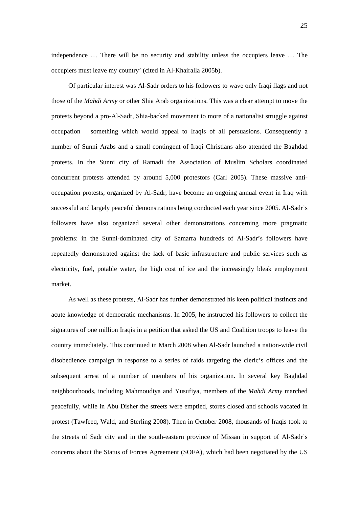independence … There will be no security and stability unless the occupiers leave … The occupiers must leave my country' (cited in Al-Khairalla 2005b).

Of particular interest was Al-Sadr orders to his followers to wave only Iraqi flags and not those of the *Mahdi Army* or other Shia Arab organizations. This was a clear attempt to move the protests beyond a pro-Al-Sadr, Shia-backed movement to more of a nationalist struggle against occupation – something which would appeal to Iraqis of all persuasions. Consequently a number of Sunni Arabs and a small contingent of Iraqi Christians also attended the Baghdad protests. In the Sunni city of Ramadi the Association of Muslim Scholars coordinated concurrent protests attended by around 5,000 protestors (Carl 2005). These massive antioccupation protests, organized by Al-Sadr, have become an ongoing annual event in Iraq with successful and largely peaceful demonstrations being conducted each year since 2005. Al-Sadr's followers have also organized several other demonstrations concerning more pragmatic problems: in the Sunni-dominated city of Samarra hundreds of Al-Sadr's followers have repeatedly demonstrated against the lack of basic infrastructure and public services such as electricity, fuel, potable water, the high cost of ice and the increasingly bleak employment market.

As well as these protests, Al-Sadr has further demonstrated his keen political instincts and acute knowledge of democratic mechanisms. In 2005, he instructed his followers to collect the signatures of one million Iraqis in a petition that asked the US and Coalition troops to leave the country immediately. This continued in March 2008 when Al-Sadr launched a nation-wide civil disobedience campaign in response to a series of raids targeting the cleric's offices and the subsequent arrest of a number of members of his organization. In several key Baghdad neighbourhoods, including Mahmoudiya and Yusufiya, members of the *Mahdi Army* marched peacefully, while in Abu Disher the streets were emptied, stores closed and schools vacated in protest (Tawfeeq, Wald, and Sterling 2008). Then in October 2008, thousands of Iraqis took to the streets of Sadr city and in the south-eastern province of Missan in support of Al-Sadr's concerns about the Status of Forces Agreement (SOFA), which had been negotiated by the US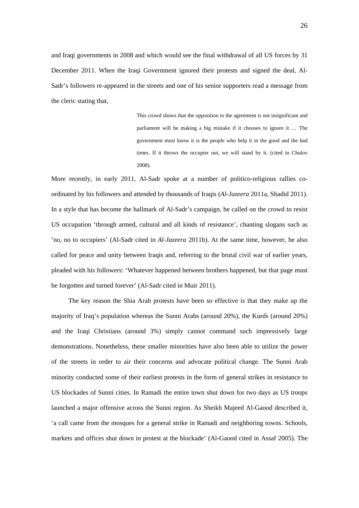and Iraqi governments in 2008 and which would see the final withdrawal of all US forces by 31 December 2011. When the Iraqi Government ignored their protests and signed the deal, Al-Sadr's followers re-appeared in the streets and one of his senior supporters read a message from the cleric stating that,

> This crowd shows that the opposition to the agreement is not insignificant and parliament will be making a big mistake if it chooses to ignore it … The government must know it is the people who help it in the good and the bad times. If it throws the occupier out, we will stand by it. (cited in Chulov 2008).

More recently, in early 2011, Al-Sadr spoke at a number of politico-religious rallies coordinated by his followers and attended by thousands of Iraqis (*Al-Jazeera* 2011a, Shadid 2011). In a style that has become the hallmark of Al-Sadr's campaign, he called on the crowd to resist US occupation 'through armed, cultural and all kinds of resistance', chanting slogans such as 'no, no to occupiers' (Al-Sadr cited in *Al-Jazeera* 2011b). At the same time, however, he also called for peace and unity between Iraqis and, referring to the brutal civil war of earlier years, pleaded with his followers: 'Whatever happened between brothers happened, but that page must be forgotten and turned forever' (Al-Sadr cited in Muir 2011).

The key reason the Shia Arab protests have been so effective is that they make up the majority of Iraq's population whereas the Sunni Arabs (around 20%), the Kurds (around 20%) and the Iraqi Christians (around 3%) simply cannot command such impressively large demonstrations. Nonetheless, these smaller minorities have also been able to utilize the power of the streets in order to air their concerns and advocate political change. The Sunni Arab minority conducted some of their earliest protests in the form of general strikes in resistance to US blockades of Sunni cities. In Ramadi the entire town shut down for two days as US troops launched a major offensive across the Sunni region. As Sheikh Majeed Al-Gaood described it, 'a call came from the mosques for a general strike in Ramadi and neighboring towns. Schools, markets and offices shut down in protest at the blockade' (Al-Gaood cited in Assaf 2005). The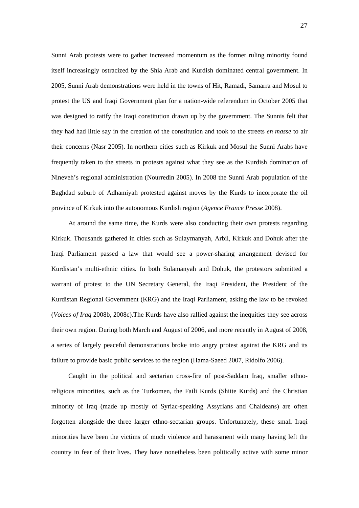Sunni Arab protests were to gather increased momentum as the former ruling minority found itself increasingly ostracized by the Shia Arab and Kurdish dominated central government. In 2005, Sunni Arab demonstrations were held in the towns of Hit, Ramadi, Samarra and Mosul to protest the US and Iraqi Government plan for a nation-wide referendum in October 2005 that was designed to ratify the Iraqi constitution drawn up by the government. The Sunnis felt that they had had little say in the creation of the constitution and took to the streets *en masse* to air their concerns (Nasr 2005). In northern cities such as Kirkuk and Mosul the Sunni Arabs have frequently taken to the streets in protests against what they see as the Kurdish domination of Nineveh's regional administration (Nourredin 2005). In 2008 the Sunni Arab population of the Baghdad suburb of Adhamiyah protested against moves by the Kurds to incorporate the oil province of Kirkuk into the autonomous Kurdish region (*Agence France Presse* 2008).

At around the same time, the Kurds were also conducting their own protests regarding Kirkuk. Thousands gathered in cities such as Sulaymanyah, Arbil, Kirkuk and Dohuk after the Iraqi Parliament passed a law that would see a power-sharing arrangement devised for Kurdistan's multi-ethnic cities. In both Sulamanyah and Dohuk, the protestors submitted a warrant of protest to the UN Secretary General, the Iraqi President, the President of the Kurdistan Regional Government (KRG) and the Iraqi Parliament, asking the law to be revoked (*Voices of Iraq* 2008b, 2008c).The Kurds have also rallied against the inequities they see across their own region. During both March and August of 2006, and more recently in August of 2008, a series of largely peaceful demonstrations broke into angry protest against the KRG and its failure to provide basic public services to the region (Hama-Saeed 2007, Ridolfo 2006).

Caught in the political and sectarian cross-fire of post-Saddam Iraq, smaller ethnoreligious minorities, such as the Turkomen, the Faili Kurds (Shiite Kurds) and the Christian minority of Iraq (made up mostly of Syriac-speaking Assyrians and Chaldeans) are often forgotten alongside the three larger ethno-sectarian groups. Unfortunately, these small Iraqi minorities have been the victims of much violence and harassment with many having left the country in fear of their lives. They have nonetheless been politically active with some minor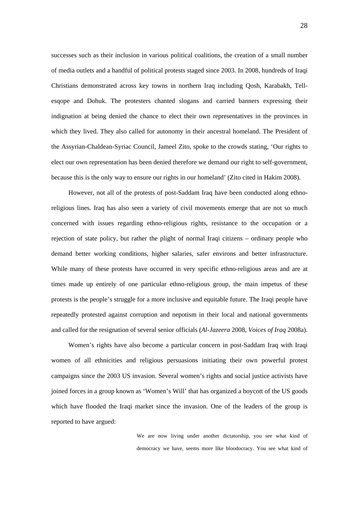successes such as their inclusion in various political coalitions, the creation of a small number of media outlets and a handful of political protests staged since 2003. In 2008, hundreds of Iraqi Christians demonstrated across key towns in northern Iraq including Qosh, Karabakh, Tellesqope and Dohuk. The protesters chanted slogans and carried banners expressing their indignation at being denied the chance to elect their own representatives in the provinces in which they lived. They also called for autonomy in their ancestral homeland. The President of the Assyrian-Chaldean-Syriac Council, Jameel Zito, spoke to the crowds stating, 'Our rights to elect our own representation has been denied therefore we demand our right to self-government, because this is the only way to ensure our rights in our homeland' (Zito cited in Hakim 2008).

However, not all of the protests of post-Saddam Iraq have been conducted along ethnoreligious lines. Iraq has also seen a variety of civil movements emerge that are not so much concerned with issues regarding ethno-religious rights, resistance to the occupation or a rejection of state policy, but rather the plight of normal Iraqi citizens – ordinary people who demand better working conditions, higher salaries, safer environs and better infrastructure. While many of these protests have occurred in very specific ethno-religious areas and are at times made up entirely of one particular ethno-religious group, the main impetus of these protests is the people's struggle for a more inclusive and equitable future. The Iraqi people have repeatedly protested against corruption and nepotism in their local and national governments and called for the resignation of several senior officials (*Al-Jazeera* 2008, *Voices of Iraq* 2008a).

Women's rights have also become a particular concern in post-Saddam Iraq with Iraqi women of all ethnicities and religious persuasions initiating their own powerful protest campaigns since the 2003 US invasion. Several women's rights and social justice activists have joined forces in a group known as 'Women's Will' that has organized a boycott of the US goods which have flooded the Iraqi market since the invasion. One of the leaders of the group is reported to have argued:

> We are now living under another dictatorship, you see what kind of democracy we have, seems more like bloodocracy. You see what kind of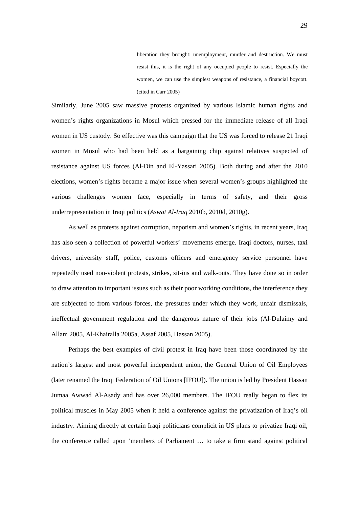liberation they brought: unemployment, murder and destruction. We must resist this, it is the right of any occupied people to resist. Especially the women, we can use the simplest weapons of resistance, a financial boycott. (cited in Carr 2005)

Similarly, June 2005 saw massive protests organized by various Islamic human rights and women's rights organizations in Mosul which pressed for the immediate release of all Iraqi women in US custody. So effective was this campaign that the US was forced to release 21 Iraqi women in Mosul who had been held as a bargaining chip against relatives suspected of resistance against US forces (Al-Din and El-Yassari 2005). Both during and after the 2010 elections, women's rights became a major issue when several women's groups highlighted the various challenges women face, especially in terms of safety, and their gross underrepresentation in Iraqi politics (*Aswat Al-Iraq* 2010b, 2010d, 2010g).

As well as protests against corruption, nepotism and women's rights, in recent years, Iraq has also seen a collection of powerful workers' movements emerge. Iraqi doctors, nurses, taxi drivers, university staff, police, customs officers and emergency service personnel have repeatedly used non-violent protests, strikes, sit-ins and walk-outs. They have done so in order to draw attention to important issues such as their poor working conditions, the interference they are subjected to from various forces, the pressures under which they work, unfair dismissals, ineffectual government regulation and the dangerous nature of their jobs (Al-Dulaimy and Allam 2005, Al-Khairalla 2005a, Assaf 2005, Hassan 2005).

Perhaps the best examples of civil protest in Iraq have been those coordinated by the nation's largest and most powerful independent union, the General Union of Oil Employees (later renamed the Iraqi Federation of Oil Unions [IFOU]). The union is led by President Hassan Jumaa Awwad Al-Asady and has over 26,000 members. The IFOU really began to flex its political muscles in May 2005 when it held a conference against the privatization of Iraq's oil industry. Aiming directly at certain Iraqi politicians complicit in US plans to privatize Iraqi oil, the conference called upon 'members of Parliament … to take a firm stand against political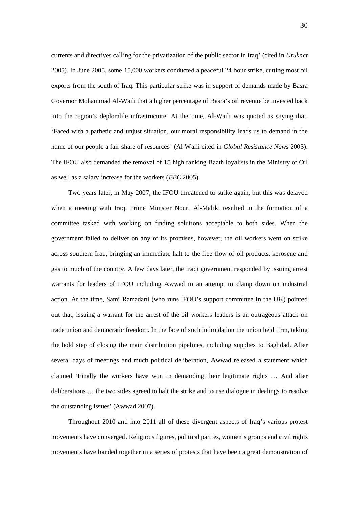currents and directives calling for the privatization of the public sector in Iraq' (cited in *Uruknet* 2005). In June 2005, some 15,000 workers conducted a peaceful 24 hour strike, cutting most oil exports from the south of Iraq. This particular strike was in support of demands made by Basra Governor Mohammad Al-Waili that a higher percentage of Basra's oil revenue be invested back into the region's deplorable infrastructure. At the time, Al-Waili was quoted as saying that, 'Faced with a pathetic and unjust situation, our moral responsibility leads us to demand in the name of our people a fair share of resources' (Al-Waili cited in *Global Resistance News* 2005). The IFOU also demanded the removal of 15 high ranking Baath loyalists in the Ministry of Oil as well as a salary increase for the workers (*BBC* 2005).

Two years later, in May 2007, the IFOU threatened to strike again, but this was delayed when a meeting with Iraqi Prime Minister Nouri Al-Maliki resulted in the formation of a committee tasked with working on finding solutions acceptable to both sides. When the government failed to deliver on any of its promises, however, the oil workers went on strike across southern Iraq, bringing an immediate halt to the free flow of oil products, kerosene and gas to much of the country. A few days later, the Iraqi government responded by issuing arrest warrants for leaders of IFOU including Awwad in an attempt to clamp down on industrial action. At the time, Sami Ramadani (who runs IFOU's support committee in the UK) pointed out that, issuing a warrant for the arrest of the oil workers leaders is an outrageous attack on trade union and democratic freedom. In the face of such intimidation the union held firm, taking the bold step of closing the main distribution pipelines, including supplies to Baghdad. After several days of meetings and much political deliberation, Awwad released a statement which claimed 'Finally the workers have won in demanding their legitimate rights … And after deliberations … the two sides agreed to halt the strike and to use dialogue in dealings to resolve the outstanding issues' (Awwad 2007).

Throughout 2010 and into 2011 all of these divergent aspects of Iraq's various protest movements have converged. Religious figures, political parties, women's groups and civil rights movements have banded together in a series of protests that have been a great demonstration of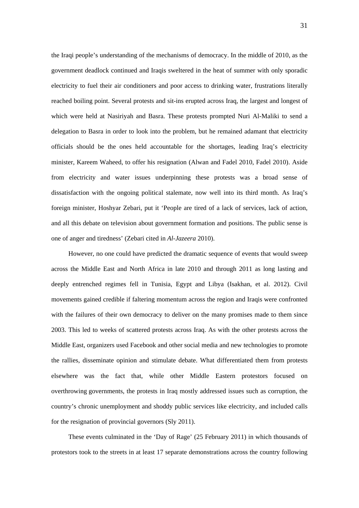the Iraqi people's understanding of the mechanisms of democracy. In the middle of 2010, as the government deadlock continued and Iraqis sweltered in the heat of summer with only sporadic electricity to fuel their air conditioners and poor access to drinking water, frustrations literally reached boiling point. Several protests and sit-ins erupted across Iraq, the largest and longest of which were held at Nasiriyah and Basra. These protests prompted Nuri Al-Maliki to send a delegation to Basra in order to look into the problem, but he remained adamant that electricity officials should be the ones held accountable for the shortages, leading Iraq's electricity minister, Kareem Waheed, to offer his resignation (Alwan and Fadel 2010, Fadel 2010). Aside from electricity and water issues underpinning these protests was a broad sense of dissatisfaction with the ongoing political stalemate, now well into its third month. As Iraq's foreign minister, Hoshyar Zebari, put it 'People are tired of a lack of services, lack of action, and all this debate on television about government formation and positions. The public sense is one of anger and tiredness' (Zebari cited in *Al-Jazeera* 2010).

However, no one could have predicted the dramatic sequence of events that would sweep across the Middle East and North Africa in late 2010 and through 2011 as long lasting and deeply entrenched regimes fell in Tunisia, Egypt and Libya (Isakhan, et al. 2012). Civil movements gained credible if faltering momentum across the region and Iraqis were confronted with the failures of their own democracy to deliver on the many promises made to them since 2003. This led to weeks of scattered protests across Iraq. As with the other protests across the Middle East, organizers used Facebook and other social media and new technologies to promote the rallies, disseminate opinion and stimulate debate. What differentiated them from protests elsewhere was the fact that, while other Middle Eastern protestors focused on overthrowing governments, the protests in Iraq mostly addressed issues such as corruption, the country's chronic unemployment and shoddy public services like electricity, and included calls for the resignation of provincial governors (Sly 2011).

These events culminated in the 'Day of Rage' (25 February 2011) in which thousands of protestors took to the streets in at least 17 separate demonstrations across the country following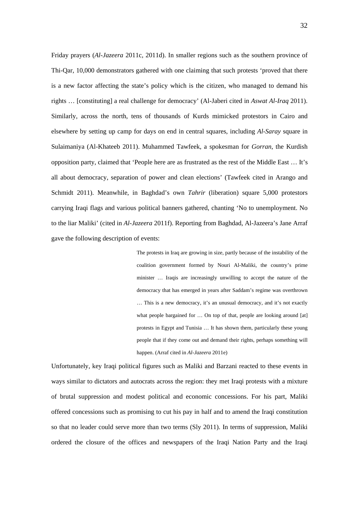Friday prayers (*Al-Jazeera* 2011c, 2011d). In smaller regions such as the southern province of Thi-Qar, 10,000 demonstrators gathered with one claiming that such protests 'proved that there is a new factor affecting the state's policy which is the citizen, who managed to demand his rights … [constituting] a real challenge for democracy' (Al-Jaberi cited in *Aswat Al-Iraq* 2011). Similarly, across the north, tens of thousands of Kurds mimicked protestors in Cairo and elsewhere by setting up camp for days on end in central squares, including *Al-Saray* square in Sulaimaniya (Al-Khateeb 2011). Muhammed Tawfeek, a spokesman for *Gorran*, the Kurdish opposition party, claimed that 'People here are as frustrated as the rest of the Middle East … It's all about democracy, separation of power and clean elections' (Tawfeek cited in Arango and Schmidt 2011). Meanwhile, in Baghdad's own *Tahrir* (liberation) square 5,000 protestors carrying Iraqi flags and various political banners gathered, chanting 'No to unemployment. No to the liar Maliki' (cited in *Al-Jazeera* 2011f). Reporting from Baghdad, Al-Jazeera's Jane Arraf gave the following description of events:

> The protests in Iraq are growing in size, partly because of the instability of the coalition government formed by Nouri Al-Maliki, the country's prime minister … Iraqis are increasingly unwilling to accept the nature of the democracy that has emerged in years after Saddam's regime was overthrown … This is a new democracy, it's an unusual democracy, and it's not exactly what people bargained for ... On top of that, people are looking around [at] protests in Egypt and Tunisia … It has shown them, particularly these young people that if they come out and demand their rights, perhaps something will happen. (Arraf cited in *Al-Jazeera* 2011e)

Unfortunately, key Iraqi political figures such as Maliki and Barzani reacted to these events in ways similar to dictators and autocrats across the region: they met Iraqi protests with a mixture of brutal suppression and modest political and economic concessions. For his part, Maliki offered concessions such as promising to cut his pay in half and to amend the Iraqi constitution so that no leader could serve more than two terms (Sly 2011). In terms of suppression, Maliki ordered the closure of the offices and newspapers of the Iraqi Nation Party and the Iraqi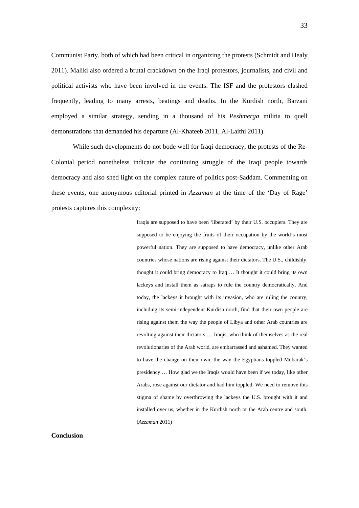Communist Party, both of which had been critical in organizing the protests (Schmidt and Healy 2011). Maliki also ordered a brutal crackdown on the Iraqi protestors, journalists, and civil and political activists who have been involved in the events. The ISF and the protestors clashed frequently, leading to many arrests, beatings and deaths. In the Kurdish north, Barzani employed a similar strategy, sending in a thousand of his *Peshmerga* militia to quell demonstrations that demanded his departure (Al-Khateeb 2011, Al-Laithi 2011).

 While such developments do not bode well for Iraqi democracy, the protests of the Re-Colonial period nonetheless indicate the continuing struggle of the Iraqi people towards democracy and also shed light on the complex nature of politics post-Saddam. Commenting on these events, one anonymous editorial printed in *Azzaman* at the time of the 'Day of Rage' protests captures this complexity:

> Iraqis are supposed to have been 'liberated' by their U.S. occupiers. They are supposed to be enjoying the fruits of their occupation by the world's most powerful nation. They are supposed to have democracy, unlike other Arab countries whose nations are rising against their dictators. The U.S., childishly, thought it could bring democracy to Iraq … It thought it could bring its own lackeys and install them as satraps to rule the country democratically. And today, the lackeys it brought with its invasion, who are ruling the country, including its semi-independent Kurdish north, find that their own people are rising against them the way the people of Libya and other Arab countries are revolting against their dictators … Iraqis, who think of themselves as the real revolutionaries of the Arab world, are embarrassed and ashamed. They wanted to have the change on their own, the way the Egyptians toppled Mubarak's presidency … How glad we the Iraqis would have been if we today, like other Arabs, rose against our dictator and had him toppled. We need to remove this stigma of shame by overthrowing the lackeys the U.S. brought with it and installed over us, whether in the Kurdish north or the Arab centre and south. (*Azzaman* 2011)

**Conclusion**